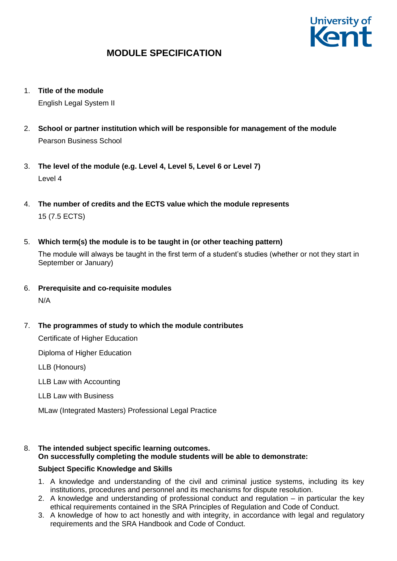

1. **Title of the module**

English Legal System II

- 2. **School or partner institution which will be responsible for management of the module** Pearson Business School
- 3. **The level of the module (e.g. Level 4, Level 5, Level 6 or Level 7)** Level 4
- 4. **The number of credits and the ECTS value which the module represents**  15 (7.5 ECTS)
- 5. **Which term(s) the module is to be taught in (or other teaching pattern)**

The module will always be taught in the first term of a student's studies (whether or not they start in September or January)

- 6. **Prerequisite and co-requisite modules** N/A
- 7. **The programmes of study to which the module contributes**

Certificate of Higher Education

Diploma of Higher Education

LLB (Honours)

LLB Law with Accounting

LLB Law with Business

MLaw (Integrated Masters) Professional Legal Practice

8. **The intended subject specific learning outcomes. On successfully completing the module students will be able to demonstrate:**

#### **Subject Specific Knowledge and Skills**

- 1. A knowledge and understanding of the civil and criminal justice systems, including its key institutions, procedures and personnel and its mechanisms for dispute resolution.
- 2. A knowledge and understanding of professional conduct and regulation in particular the key ethical requirements contained in the SRA Principles of Regulation and Code of Conduct.
- 3. A knowledge of how to act honestly and with integrity, in accordance with legal and regulatory requirements and the SRA Handbook and Code of Conduct.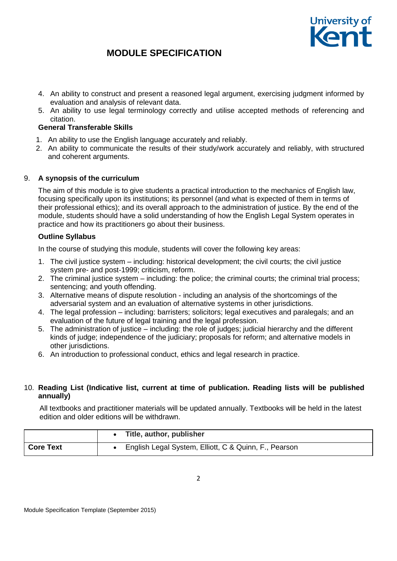

- 4. An ability to construct and present a reasoned legal argument, exercising judgment informed by evaluation and analysis of relevant data.
- 5. An ability to use legal terminology correctly and utilise accepted methods of referencing and citation.

### **General Transferable Skills**

- 1. An ability to use the English language accurately and reliably.
- 2. An ability to communicate the results of their study/work accurately and reliably, with structured and coherent arguments.

#### 9. **A synopsis of the curriculum**

The aim of this module is to give students a practical introduction to the mechanics of English law, focusing specifically upon its institutions; its personnel (and what is expected of them in terms of their professional ethics); and its overall approach to the administration of justice. By the end of the module, students should have a solid understanding of how the English Legal System operates in practice and how its practitioners go about their business.

### **Outline Syllabus**

In the course of studying this module, students will cover the following key areas:

- 1. The civil justice system including: historical development; the civil courts; the civil justice system pre- and post-1999; criticism, reform.
- 2. The criminal justice system including: the police; the criminal courts; the criminal trial process; sentencing; and youth offending.
- 3. Alternative means of dispute resolution including an analysis of the shortcomings of the adversarial system and an evaluation of alternative systems in other jurisdictions.
- 4. The legal profession including: barristers; solicitors; legal executives and paralegals; and an evaluation of the future of legal training and the legal profession.
- 5. The administration of justice including: the role of judges; judicial hierarchy and the different kinds of judge; independence of the judiciary; proposals for reform; and alternative models in other jurisdictions.
- 6. An introduction to professional conduct, ethics and legal research in practice.

#### 10. **Reading List (Indicative list, current at time of publication. Reading lists will be published annually)**

All textbooks and practitioner materials will be updated annually. Textbooks will be held in the latest edition and older editions will be withdrawn.

|           | Title, author, publisher                              |
|-----------|-------------------------------------------------------|
| Core Text | English Legal System, Elliott, C & Quinn, F., Pearson |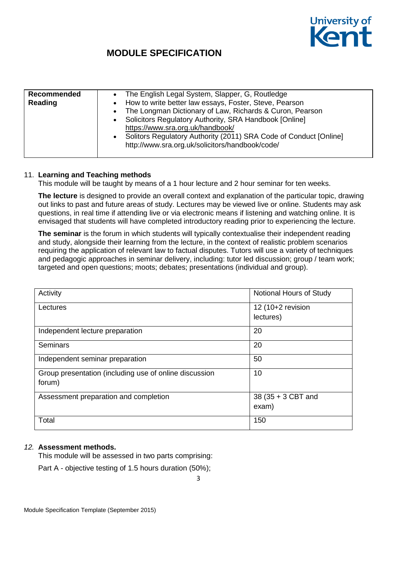

| Recommended<br>Reading | The English Legal System, Slapper, G, Routledge<br>$\bullet$<br>How to write better law essays, Foster, Steve, Pearson<br>The Longman Dictionary of Law, Richards & Curon, Pearson<br>$\bullet$<br>Solicitors Regulatory Authority, SRA Handbook [Online]<br>$\bullet$<br>https://www.sra.org.uk/handbook/<br>Solitors Regulatory Authority (2011) SRA Code of Conduct [Online]<br>http://www.sra.org.uk/solicitors/handbook/code/ |
|------------------------|------------------------------------------------------------------------------------------------------------------------------------------------------------------------------------------------------------------------------------------------------------------------------------------------------------------------------------------------------------------------------------------------------------------------------------|
|------------------------|------------------------------------------------------------------------------------------------------------------------------------------------------------------------------------------------------------------------------------------------------------------------------------------------------------------------------------------------------------------------------------------------------------------------------------|

#### 11. **Learning and Teaching methods**

This module will be taught by means of a 1 hour lecture and 2 hour seminar for ten weeks.

**The lecture** is designed to provide an overall context and explanation of the particular topic, drawing out links to past and future areas of study. Lectures may be viewed live or online. Students may ask questions, in real time if attending live or via electronic means if listening and watching online. It is envisaged that students will have completed introductory reading prior to experiencing the lecture.

**The seminar** is the forum in which students will typically contextualise their independent reading and study, alongside their learning from the lecture, in the context of realistic problem scenarios requiring the application of relevant law to factual disputes. Tutors will use a variety of techniques and pedagogic approaches in seminar delivery, including: tutor led discussion; group / team work; targeted and open questions; moots; debates; presentations (individual and group).

| Activity                                               | Notional Hours of Study |
|--------------------------------------------------------|-------------------------|
| Lectures                                               | 12 (10+2 revision       |
|                                                        | lectures)               |
| Independent lecture preparation                        | 20                      |
| <b>Seminars</b>                                        | 20                      |
| Independent seminar preparation                        | 50                      |
| Group presentation (including use of online discussion | 10                      |
| forum)                                                 |                         |
| Assessment preparation and completion                  | 38 (35 + 3 CBT and      |
|                                                        | exam)                   |
| Total                                                  | 150                     |

#### *12.* **Assessment methods.**

This module will be assessed in two parts comprising:

Part A - objective testing of 1.5 hours duration (50%);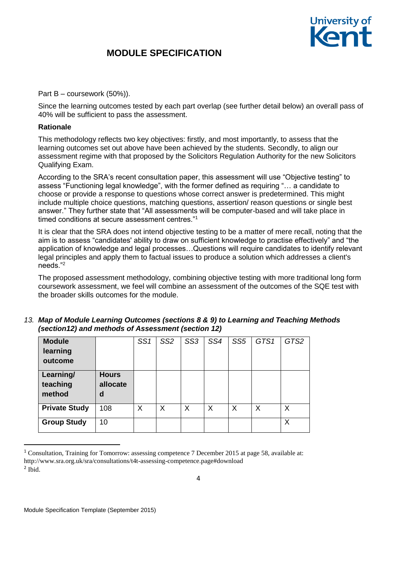

Part B – coursework (50%)).

Since the learning outcomes tested by each part overlap (see further detail below) an overall pass of 40% will be sufficient to pass the assessment.

#### **Rationale**

This methodology reflects two key objectives: firstly, and most importantly, to assess that the learning outcomes set out above have been achieved by the students. Secondly, to align our assessment regime with that proposed by the Solicitors Regulation Authority for the new Solicitors Qualifying Exam.

According to the SRA's recent consultation paper, this assessment will use "Objective testing" to assess "Functioning legal knowledge", with the former defined as requiring "… a candidate to choose or provide a response to questions whose correct answer is predetermined. This might include multiple choice questions, matching questions, assertion/ reason questions or single best answer." They further state that "All assessments will be computer-based and will take place in timed conditions at secure assessment centres."<sup>1</sup>

It is clear that the SRA does not intend objective testing to be a matter of mere recall, noting that the aim is to assess "candidates' ability to draw on sufficient knowledge to practise effectively" and "the application of knowledge and legal processes…Questions will require candidates to identify relevant legal principles and apply them to factual issues to produce a solution which addresses a client's needs."<sup>2</sup>

The proposed assessment methodology, combining objective testing with more traditional long form coursework assessment, we feel will combine an assessment of the outcomes of the SQE test with the broader skills outcomes for the module.

| 13. Map of Module Learning Outcomes (sections 8 & 9) to Learning and Teaching Methods |
|---------------------------------------------------------------------------------------|
| (section12) and methods of Assessment (section 12)                                    |

| <b>Module</b><br>learning<br>outcome |                               | SS1 | SS <sub>2</sub> | SS3 | SS4 | SS <sub>5</sub> | GTS1 | GTS2 |
|--------------------------------------|-------------------------------|-----|-----------------|-----|-----|-----------------|------|------|
| Learning/<br>teaching<br>method      | <b>Hours</b><br>allocate<br>d |     |                 |     |     |                 |      |      |
| <b>Private Study</b>                 | 108                           | X   | X               | X   | X   | X               | X    | X    |
| <b>Group Study</b>                   | 10                            |     |                 |     |     |                 |      | Χ    |

<sup>&</sup>lt;sup>1</sup> Consultation, Training for Tomorrow: assessing competence 7 December 2015 at page 58, available at: http://www.sra.org.uk/sra/consultations/t4t-assessing-competence.page#download 2 Ibid.

1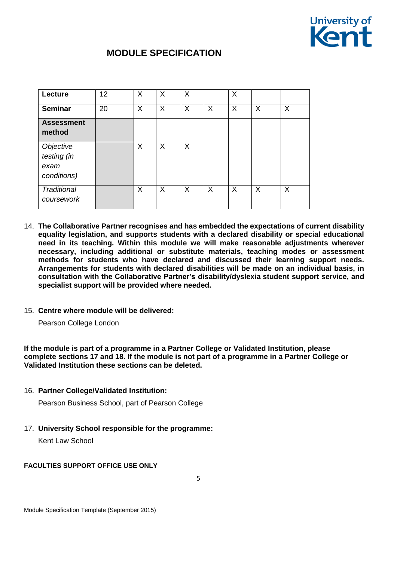

| Lecture                                         | 12 | X | X | X |   | X        |   |   |
|-------------------------------------------------|----|---|---|---|---|----------|---|---|
| <b>Seminar</b>                                  | 20 | X | X | X | X | $\times$ | X | X |
| <b>Assessment</b><br>method                     |    |   |   |   |   |          |   |   |
| Objective<br>testing (in<br>exam<br>conditions) |    | X | X | X |   |          |   |   |
| Traditional<br>coursework                       |    | X | X | X | X | $\sf X$  | X | X |

- 14. **The Collaborative Partner recognises and has embedded the expectations of current disability equality legislation, and supports students with a declared disability or special educational need in its teaching. Within this module we will make reasonable adjustments wherever necessary, including additional or substitute materials, teaching modes or assessment methods for students who have declared and discussed their learning support needs. Arrangements for students with declared disabilities will be made on an individual basis, in consultation with the Collaborative Partner's disability/dyslexia student support service, and specialist support will be provided where needed.**
- 15. **Centre where module will be delivered:**

Pearson College London

**If the module is part of a programme in a Partner College or Validated Institution, please complete sections 17 and 18. If the module is not part of a programme in a Partner College or Validated Institution these sections can be deleted.**

16. **Partner College/Validated Institution:**

Pearson Business School, part of Pearson College

17. **University School responsible for the programme:**

Kent Law School

#### **FACULTIES SUPPORT OFFICE USE ONLY**